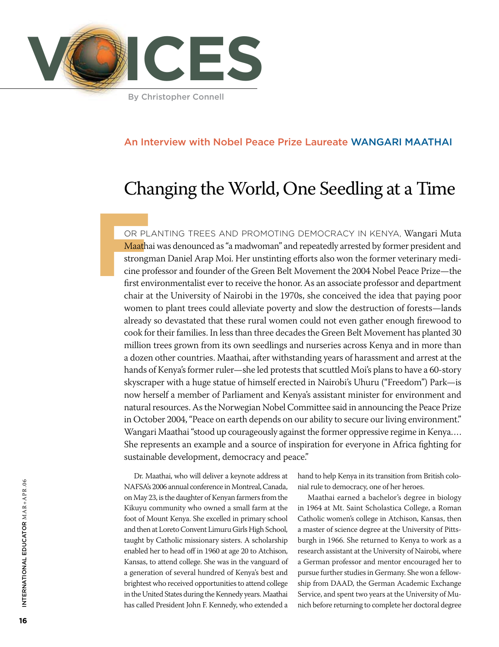

# An Interview with Nobel Peace Prize Laureate Wangari Maathai

# Changing the World, One Seedling at a Time

OR PL<br> **Maatha**<br>
strongr<br>
cine pre<br>
first env or planting trees and promoting democracy in Kenya, Wangari Muta Maathai was denounced as "a madwoman" and repeatedly arrested by former president and strongman Daniel Arap Moi. Her unstinting efforts also won the former veterinary medicine professor and founder of the Green Belt Movement the 2004 Nobel Peace Prize—the first environmentalist ever to receive the honor. As an associate professor and department chair at the University of Nairobi in the 1970s, she conceived the idea that paying poor women to plant trees could alleviate poverty and slow the destruction of forests—lands already so devastated that these rural women could not even gather enough firewood to cook for their families. In less than three decades the Green Belt Movement has planted 30 million trees grown from its own seedlings and nurseries across Kenya and in more than a dozen other countries. Maathai, after withstanding years of harassment and arrest at the hands of Kenya's former ruler—she led protests that scuttled Moi's plans to have a 60-story skyscraper with a huge statue of himself erected in Nairobi's Uhuru ("Freedom") Park—is now herself a member of Parliament and Kenya's assistant minister for environment and natural resources. As the Norwegian Nobel Committee said in announcing the Peace Prize in October 2004, "Peace on earth depends on our ability to secure our living environment." Wangari Maathai "stood up courageously against the former oppressive regime in Kenya.... She represents an example and a source of inspiration for everyone in Africa fighting for sustainable development, democracy and peace."

Dr. Maathai, who will deliver a keynote address at NAFSA's 2006 annual conference in Montreal, Canada, on May 23, is the daughter of Kenyan farmers from the Kikuyu community who owned a small farm at the foot of Mount Kenya. She excelled in primary school and then at Loreto Convent Limuru Girls High School, taught by Catholic missionary sisters. A scholarship enabled her to head off in 1960 at age 20 to Atchison, Kansas, to attend college. She was in the vanguard of a generation of several hundred of Kenya's best and brightest who received opportunities to attend college in the United States during the Kennedy years. Maathai has called President John F. Kennedy, who extended a hand to help Kenya in its transition from British colonial rule to democracy, one of her heroes.

Maathai earned a bachelor's degree in biology in 1964 at Mt. Saint Scholastica College, a Roman Catholic women's college in Atchison, Kansas, then a master of science degree at the University of Pittsburgh in 1966. She returned to Kenya to work as a research assistant at the University of Nairobi, where a German professor and mentor encouraged her to pursue further studies in Germany. She won a fellowship from DAAD, the German Academic Exchange Service, and spent two years at the University of Munich before returning to complete her doctoral degree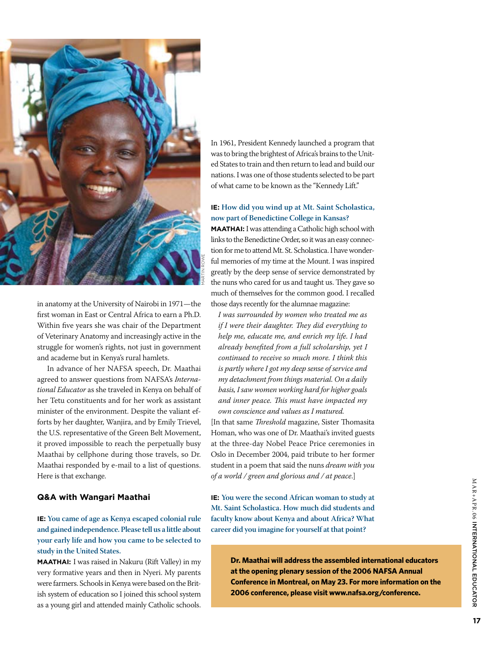

in anatomy at the University of Nairobi in 1971—the first woman in East or Central Africa to earn a Ph.D. Within five years she was chair of the Department of Veterinary Anatomy and increasingly active in the struggle for women's rights, not just in government and academe but in Kenya's rural hamlets.

In advance of her NAFSA speech, Dr. Maathai agreed to answer questions from NAFSA's *International Educator* as she traveled in Kenya on behalf of her Tetu constituents and for her work as assistant minister of the environment. Despite the valiant efforts by her daughter, Wanjira, and by Emily Trievel, the U.S. representative of the Green Belt Movement, it proved impossible to reach the perpetually busy Maathai by cellphone during those travels, so Dr. Maathai responded by e-mail to a list of questions. Here is that exchange.

#### **Q&A with Wangari Maathai**

## **IE: You came of age as Kenya escaped colonial rule and gained independence. Please tell us a little about your early life and how you came to be selected to study in the United States.**

**Maathai:** I was raised in Nakuru (Rift Valley) in my very formative years and then in Nyeri. My parents were farmers. Schools in Kenya were based on the British system of education so I joined this school system as a young girl and attended mainly Catholic schools.

In 1961, President Kennedy launched a program that was to bring the brightest of Africa's brains to the United States to train and then return to lead and build our nations. I was one of those students selected to be part of what came to be known as the "Kennedy Lift."

#### **IE: How did you wind up at Mt. Saint Scholastica, now part of Benedictine College in Kansas?**

**Maathai:** I was attending a Catholic high school with links to the Benedictine Order, so it was an easy connection for me to attend Mt. St. Scholastica. I have wonderful memories of my time at the Mount. I was inspired greatly by the deep sense of service demonstrated by the nuns who cared for us and taught us. They gave so much of themselves for the common good. I recalled those days recently for the alumnae magazine:

*I was surrounded by women who treated me as if I were their daughter. They did everything to help me, educate me, and enrich my life. I had already benefited from a full scholarship, yet I continued to receive so much more. I think this is partly where I got my deep sense of service and my detachment from things material. On a daily basis, I saw women working hard for higher goals and inner peace. This must have impacted my own conscience and values as I matured.*

[In that same *Threshold* magazine, Sister Thomasita Homan, who was one of Dr. Maathai's invited guests at the three-day Nobel Peace Price ceremonies in Oslo in December 2004, paid tribute to her former student in a poem that said the nuns *dream with you of a world / green and glorious and / at peace*.]

**IE: You were the second African woman to study at Mt. Saint Scholastica. How much did students and faculty know about Kenya and about Africa? What career did you imagine for yourself at that point?**

> **Dr. Maathai will address the assembled international educators at the opening plenary session of the 2006 NAFSA Annual Conference in Montreal, on May 23. For more information on the 2006 conference, please visit www.nafsa.org/conference.**